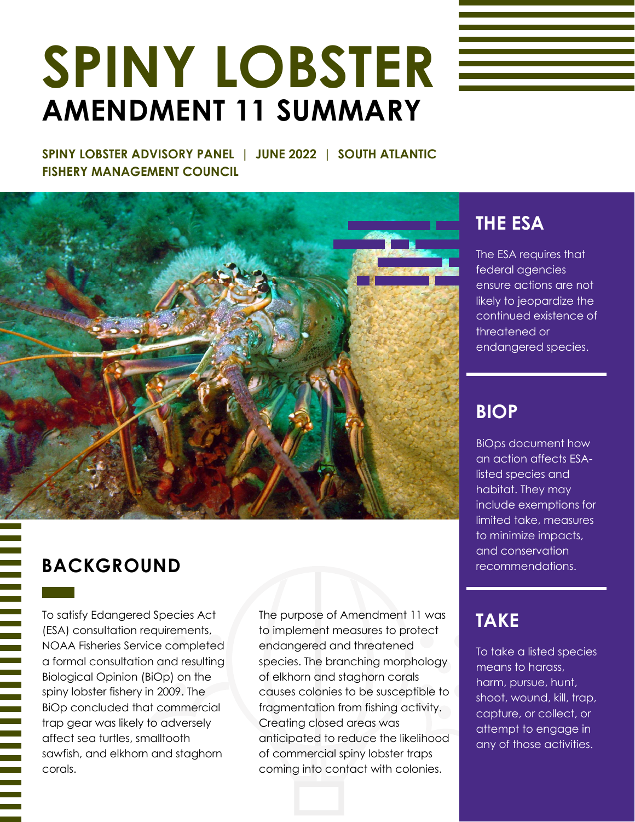# **SPINY LOBSTER AMENDMENT 11 SUMMARY**

**SPINY LOBSTER ADVISORY PANEL | JUNE 2022 | SOUTH ATLANTIC FISHERY MANAGEMENT COUNCIL**



#### **BACKGROUND** recommendations.

To satisfy Edangered Species Act (ESA) consultation requirements, NOAA Fisheries Service completed a formal consultation and resulting Biological Opinion (BiOp) on the spiny lobster fishery in 2009. The BiOp concluded that commercial trap gear was likely to adversely affect sea turtles, smalltooth sawfish, and elkhorn and staghorn corals.

The purpose of Amendment 11 was to implement measures to protect endangered and threatened species. The branching morphology of elkhorn and staghorn corals causes colonies to be susceptible to fragmentation from fishing activity. Creating closed areas was anticipated to reduce the likelihood of commercial spiny lobster traps coming into contact with colonies.

### **THE ESA**

The ESA requires that federal agencies ensure actions are not likely to jeopardize the continued existence of threatened or endangered species.

#### **BIOP**

BiOps document how an action affects ESAlisted species and habitat. They may include exemptions for limited take, measures to minimize impacts, and conservation

## **TAKE**

To take a listed species means to harass, harm, pursue, hunt, shoot, wound, kill, trap, capture, or collect, or attempt to engage in any of those activities.